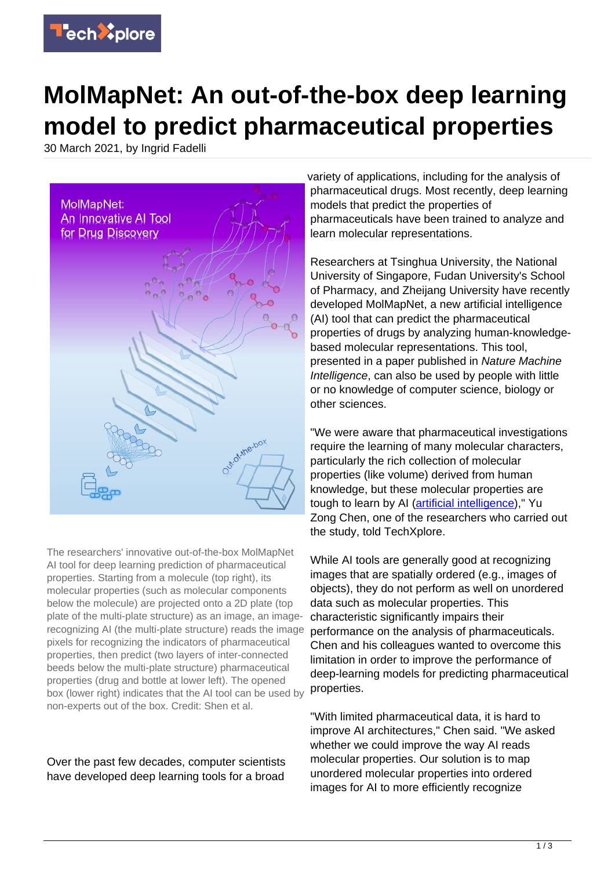

## **MolMapNet: An out-of-the-box deep learning model to predict pharmaceutical properties**

30 March 2021, by Ingrid Fadelli



The researchers' innovative out-of-the-box MolMapNet AI tool for deep learning prediction of pharmaceutical properties. Starting from a molecule (top right), its molecular properties (such as molecular components below the molecule) are projected onto a 2D plate (top plate of the multi-plate structure) as an image, an imagerecognizing AI (the multi-plate structure) reads the image pixels for recognizing the indicators of pharmaceutical properties, then predict (two layers of inter-connected beeds below the multi-plate structure) pharmaceutical properties (drug and bottle at lower left). The opened box (lower right) indicates that the AI tool can be used by non-experts out of the box. Credit: Shen et al.

Over the past few decades, computer scientists have developed deep learning tools for a broad variety of applications, including for the analysis of pharmaceutical drugs. Most recently, deep learning models that predict the properties of pharmaceuticals have been trained to analyze and learn molecular representations.

Researchers at Tsinghua University, the National University of Singapore, Fudan University's School of Pharmacy, and Zheijang University have recently developed MolMapNet, a new artificial intelligence (AI) tool that can predict the pharmaceutical properties of drugs by analyzing human-knowledgebased molecular representations. This tool, presented in a paper published in Nature Machine Intelligence, can also be used by people with little or no knowledge of computer science, biology or other sciences.

"We were aware that pharmaceutical investigations require the learning of many molecular characters, particularly the rich collection of molecular properties (like volume) derived from human knowledge, but these molecular properties are tough to learn by AI ([artificial intelligence\)](https://techxplore.com/tags/artificial+intelligence/)," Yu Zong Chen, one of the researchers who carried out the study, told TechXplore.

While AI tools are generally good at recognizing images that are spatially ordered (e.g., images of objects), they do not perform as well on unordered data such as molecular properties. This characteristic significantly impairs their performance on the analysis of pharmaceuticals. Chen and his colleagues wanted to overcome this limitation in order to improve the performance of deep-learning models for predicting pharmaceutical properties.

"With limited pharmaceutical data, it is hard to improve AI architectures," Chen said. "We asked whether we could improve the way AI reads molecular properties. Our solution is to map unordered molecular properties into ordered images for AI to more efficiently recognize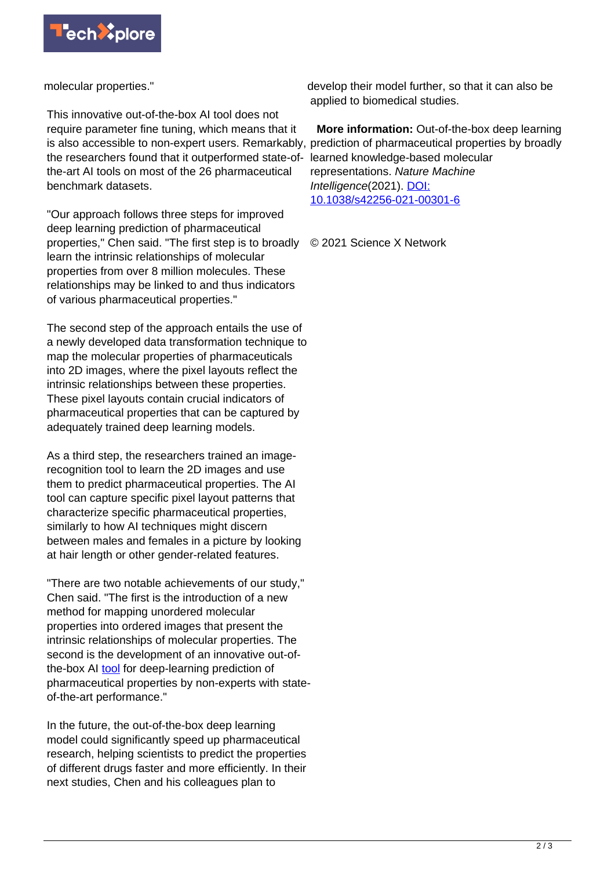

molecular properties."

This innovative out-of-the-box AI tool does not require parameter fine tuning, which means that it is also accessible to non-expert users. Remarkably, prediction of pharmaceutical properties by broadly the researchers found that it outperformed state-ofthe-art AI tools on most of the 26 pharmaceutical benchmark datasets.

"Our approach follows three steps for improved deep learning prediction of pharmaceutical properties," Chen said. "The first step is to broadly learn the intrinsic relationships of molecular properties from over 8 million molecules. These relationships may be linked to and thus indicators of various pharmaceutical properties."

The second step of the approach entails the use of a newly developed data transformation technique to map the molecular properties of pharmaceuticals into 2D images, where the pixel layouts reflect the intrinsic relationships between these properties. These pixel layouts contain crucial indicators of pharmaceutical properties that can be captured by adequately trained deep learning models.

As a third step, the researchers trained an imagerecognition tool to learn the 2D images and use them to predict pharmaceutical properties. The AI tool can capture specific pixel layout patterns that characterize specific pharmaceutical properties, similarly to how AI techniques might discern between males and females in a picture by looking at hair length or other gender-related features.

"There are two notable achievements of our study," Chen said. "The first is the introduction of a new method for mapping unordered molecular properties into ordered images that present the intrinsic relationships of molecular properties. The second is the development of an innovative out-ofthe-box AI [tool](https://techxplore.com/tags/tool/) for deep-learning prediction of pharmaceutical properties by non-experts with stateof-the-art performance."

In the future, the out-of-the-box deep learning model could significantly speed up pharmaceutical research, helping scientists to predict the properties of different drugs faster and more efficiently. In their next studies, Chen and his colleagues plan to

develop their model further, so that it can also be applied to biomedical studies.

 **More information:** Out-of-the-box deep learning learned knowledge-based molecular representations. Nature Machine Intelligence(2021). [DOI:](http://dx.doi.org/10.1038/s42256-021-00301-6) [10.1038/s42256-021-00301-6](http://dx.doi.org/10.1038/s42256-021-00301-6)

© 2021 Science X Network